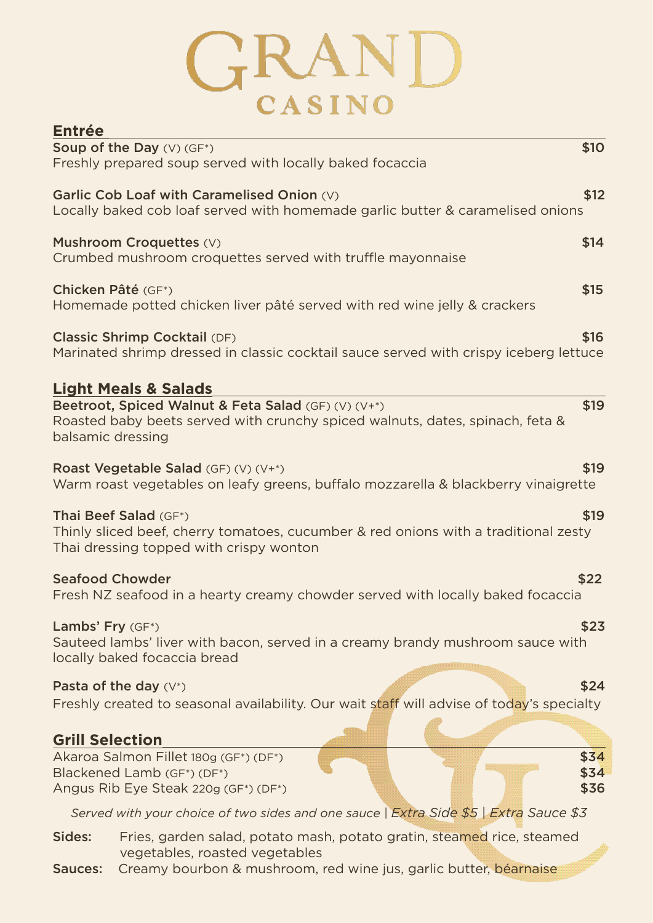## GRAND

| <b>Entrée</b>                                                                                                                                                     |
|-------------------------------------------------------------------------------------------------------------------------------------------------------------------|
| <b>\$10</b><br><b>Soup of the Day <math>(V)</math> (GF*)</b>                                                                                                      |
| Freshly prepared soup served with locally baked focaccia                                                                                                          |
| \$12<br>Garlic Cob Loaf with Caramelised Onion (V)<br>Locally baked cob loaf served with homemade garlic butter & caramelised onions                              |
| Mushroom Croquettes (V)<br>\$14<br>Crumbed mushroom croquettes served with truffle mayonnaise                                                                     |
| Chicken Pâté (GF*)<br>\$15<br>Homemade potted chicken liver pâté served with red wine jelly & crackers                                                            |
| \$16<br><b>Classic Shrimp Cocktail (DF)</b><br>Marinated shrimp dressed in classic cocktail sauce served with crispy iceberg lettuce                              |
| <b>Light Meals &amp; Salads</b>                                                                                                                                   |
| Beetroot, Spiced Walnut & Feta Salad (GF) (V) (V+*)<br>\$19<br>Roasted baby beets served with crunchy spiced walnuts, dates, spinach, feta &<br>balsamic dressing |
| \$19<br><b>Roast Vegetable Salad</b> (GF) (V) $(V^*)$<br>Warm roast vegetables on leafy greens, buffalo mozzarella & blackberry vinaigrette                       |
| Thai Beef Salad (GF*)<br>\$19<br>Thinly sliced beef, cherry tomatoes, cucumber & red onions with a traditional zesty<br>Thai dressing topped with crispy wonton   |
| <b>Seafood Chowder</b><br>\$22<br>Fresh NZ seafood in a hearty creamy chowder served with locally baked focaccia                                                  |
| \$23<br>Lambs' Fry (GF*)<br>Sauteed lambs' liver with bacon, served in a creamy brandy mushroom sauce with<br>locally baked focaccia bread                        |
| Pasta of the day $(V^*)$<br>\$24                                                                                                                                  |
| Freshly created to seasonal availability. Our wait staff will advise of today's specialty                                                                         |
| <b>Grill Selection</b>                                                                                                                                            |
| Akaroa Salmon Fillet 180g (GF*) (DF*)<br>\$34<br>\$34<br>Blackened Lamb (GF*) (DF*)<br>Angus Rib Eye Steak 220g (GF*) (DF*)<br>\$36                               |
| Served with your choice of two sides and one sauce   Extra Side \$5   Extra Sauce \$3                                                                             |
| Sides:<br>Fries, garden salad, potato mash, potato gratin, steamed rice, steamed                                                                                  |
| vegetables, roasted vegetables<br>Creamy bourbon & mushroom, red wine jus, garlic butter, béarnaise<br><b>Sauces:</b>                                             |